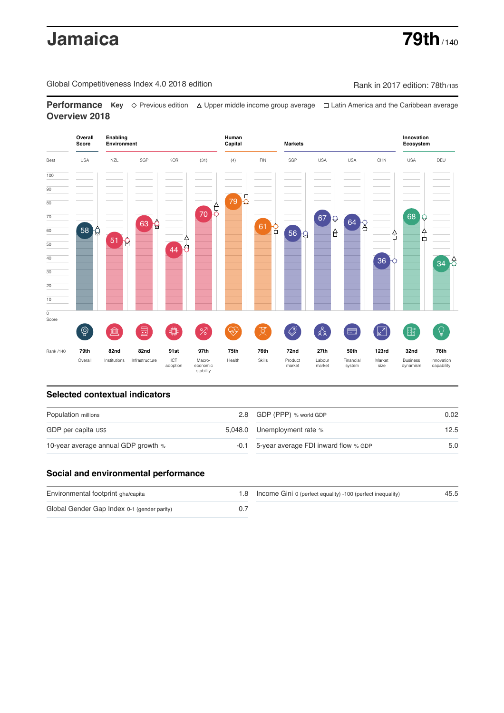# **Jamaica 79th** / 140

Global Competitiveness Index 4.0 2018 edition Company Rank in 2017 edition: 78th/135

**Performance** Key ◇ Previous edition △ Upper middle income group average □ Latin America and the Caribbean average **Overview 2018**



# **Selected contextual indicators**

| Population millions                 | 2.8 GDP (PPP) % world GDP                     | 0.02 |
|-------------------------------------|-----------------------------------------------|------|
|                                     |                                               |      |
| GDP per capita US\$                 | 5,048.0 Unemployment rate %                   | 12.5 |
| 10-year average annual GDP growth % | $-0.1$ 5-year average FDI inward flow $%$ GDP | 5.0  |

# **Social and environmental performance**

| Environmental footprint gha/capita          | 1.8 Income Gini 0 (perfect equality) -100 (perfect inequality) | 45.5 |
|---------------------------------------------|----------------------------------------------------------------|------|
| Global Gender Gap Index 0-1 (gender parity) |                                                                |      |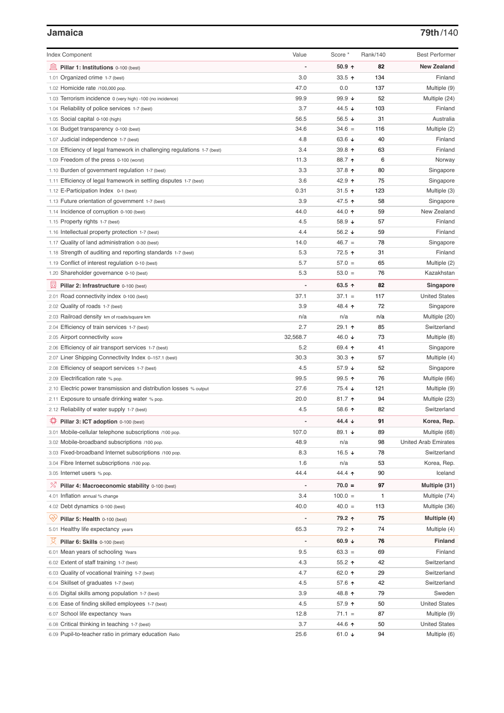### **Jamaica 79th**/140

| <b>Index Component</b>                                                   | Value                        | Score *         | Rank/140 | <b>Best Performer</b>       |
|--------------------------------------------------------------------------|------------------------------|-----------------|----------|-----------------------------|
| 寙<br>Pillar 1: Institutions 0-100 (best)                                 |                              | $50.9$ ^        | 82       | <b>New Zealand</b>          |
| 1.01 Organized crime 1-7 (best)                                          | 3.0                          | 33.5 $\uparrow$ | 134      | Finland                     |
| 1.02 Homicide rate /100,000 pop.                                         | 47.0                         | 0.0             | 137      | Multiple (9)                |
| 1.03 Terrorism incidence 0 (very high) -100 (no incidence)               | 99.9                         | 99.9 ↓          | 52       | Multiple (24)               |
| 1.04 Reliability of police services 1-7 (best)                           | 3.7                          | 44.5 ↓          | 103      | Finland                     |
| 1.05 Social capital 0-100 (high)                                         | 56.5                         | 56.5 $\sqrt{ }$ | 31       | Australia                   |
| 1.06 Budget transparency 0-100 (best)                                    | 34.6                         | $34.6 =$        | 116      | Multiple (2)                |
| 1.07 Judicial independence 1-7 (best)                                    | 4.8                          | 63.6 $\sqrt{ }$ | 40       | Finland                     |
| 1.08 Efficiency of legal framework in challenging regulations 1-7 (best) | 3.4                          | 39.8 ↑          | 63       | Finland                     |
| 1.09 Freedom of the press 0-100 (worst)                                  | 11.3                         | 88.7 ↑          | 6        | Norway                      |
| 1.10 Burden of government regulation 1-7 (best)                          | 3.3                          | 37.8 ↑          | 80       | Singapore                   |
| 1.11 Efficiency of legal framework in settling disputes 1-7 (best)       | 3.6                          | 42.9 ↑          | 75       | Singapore                   |
| 1.12 E-Participation Index 0-1 (best)                                    | 0.31                         | 31.5 $\uparrow$ | 123      | Multiple (3)                |
| 1.13 Future orientation of government 1-7 (best)                         | 3.9                          | 47.5 ↑          | 58       | Singapore                   |
| 1.14 Incidence of corruption 0-100 (best)                                | 44.0                         | 44.0 ↑          | 59       | New Zealand                 |
| 1.15 Property rights 1-7 (best)                                          | 4.5                          | 58.9 ↓          | 57       | Finland                     |
| 1.16 Intellectual property protection 1-7 (best)                         | 4.4                          | 56.2 $\sqrt{ }$ | 59       | Finland                     |
| 1.17 Quality of land administration 0-30 (best)                          | 14.0                         | $46.7 =$        | 78       | Singapore                   |
| 1.18 Strength of auditing and reporting standards 1-7 (best)             | 5.3                          | 72.5 ↑          | 31       | Finland                     |
| 1.19 Conflict of interest regulation 0-10 (best)                         | 5.7                          | $57.0 =$        | 65       | Multiple (2)                |
| 1.20 Shareholder governance 0-10 (best)                                  | 5.3                          | $53.0 =$        | 76       | Kazakhstan                  |
| 員<br>Pillar 2: Infrastructure 0-100 (best)                               |                              | 63.5 $\uparrow$ | 82       | Singapore                   |
| 2.01 Road connectivity index 0-100 (best)                                | 37.1                         | $37.1 =$        | 117      | <b>United States</b>        |
| 2.02 Quality of roads 1-7 (best)                                         | 3.9                          | 48.4 ↑          | 72       | Singapore                   |
| 2.03 Railroad density km of roads/square km                              | n/a                          | n/a             | n/a      | Multiple (20)               |
| 2.04 Efficiency of train services 1-7 (best)                             | 2.7                          | 29.1 ↑          | 85       | Switzerland                 |
| 2.05 Airport connectivity score                                          | 32,568.7                     | 46.0 ↓          | 73       | Multiple (8)                |
| 2.06 Efficiency of air transport services 1-7 (best)                     | 5.2                          | 69.4 $\uparrow$ | 41       | Singapore                   |
| 2.07 Liner Shipping Connectivity Index 0-157.1 (best)                    | 30.3                         | 30.3 $\uparrow$ | 57       | Multiple (4)                |
| 2.08 Efficiency of seaport services 1-7 (best)                           | 4.5                          | 57.9 ↓          | 52       | Singapore                   |
| 2.09 Electrification rate % pop.                                         | 99.5                         | 99.5 ↑          | 76       | Multiple (66)               |
| 2.10 Electric power transmission and distribution losses % output        | 27.6                         | 75.4 ↓          | 121      | Multiple (9)                |
| 2.11 Exposure to unsafe drinking water % pop.                            | 20.0                         | 81.7 $\uparrow$ | 94       | Multiple (23)               |
| 2.12 Reliability of water supply 1-7 (best)                              | 4.5                          | 58.6 $\uparrow$ | 82       | Switzerland                 |
| ₿<br>Pillar 3: ICT adoption 0-100 (best)                                 |                              | 44.4 $\sqrt{ }$ | 91       | Korea, Rep.                 |
| 3.01 Mobile-cellular telephone subscriptions /100 pop.                   | 107.0                        | 89.1 ↓          | 89       | Multiple (68)               |
| 3.02 Mobile-broadband subscriptions /100 pop.                            | 48.9                         | n/a             | 98       | <b>United Arab Emirates</b> |
| 3.03 Fixed-broadband Internet subscriptions /100 pop.                    | 8.3                          | 16.5 $\sqrt{ }$ | 78       | Switzerland                 |
| 3.04 Fibre Internet subscriptions /100 pop.                              | 1.6                          | n/a             | 53       | Korea, Rep.                 |
| 3.05 Internet users % pop.                                               | 44.4                         | 44.4 1          | 90       | Iceland                     |
|                                                                          |                              |                 |          |                             |
| ℅<br>Pillar 4: Macroeconomic stability 0-100 (best)                      | $\qquad \qquad \blacksquare$ | $70.0 =$        | 97       | Multiple (31)               |
| 4.01 Inflation annual % change                                           | 3.4                          | $100.0 =$       | 1        | Multiple (74)               |
| 4.02 Debt dynamics 0-100 (best)                                          | 40.0                         | $40.0 =$        | 113      | Multiple (36)               |
| Qv<br>Pillar 5: Health 0-100 (best)                                      |                              | 79.2 ↑          | 75       | Multiple (4)                |
| 5.01 Healthy life expectancy years                                       | 65.3                         | 79.2 ↑          | 74       | Multiple (4)                |
| 섯<br>Pillar 6: Skills 0-100 (best)                                       | $\overline{\phantom{0}}$     | 60.9 $\sqrt{ }$ | 76       | Finland                     |
| 6.01 Mean years of schooling Years                                       | 9.5                          | $63.3 =$        | 69       | Finland                     |
| 6.02 Extent of staff training 1-7 (best)                                 | 4.3                          | $55.2$ ↑        | 42       | Switzerland                 |
| 6.03 Quality of vocational training 1-7 (best)                           | 4.7                          | 62.0 $\uparrow$ | 29       | Switzerland                 |
| 6.04 Skillset of graduates 1-7 (best)                                    | 4.5                          | 57.6 个          | 42       | Switzerland                 |
| 6.05 Digital skills among population 1-7 (best)                          | 3.9                          | 48.8 ↑          | 79       | Sweden                      |
| 6.06 Ease of finding skilled employees 1-7 (best)                        | 4.5                          | 57.9 个          | 50       | <b>United States</b>        |
| 6.07 School life expectancy Years                                        | 12.8                         | $71.1 =$        | 87       | Multiple (9)                |
| 6.08 Critical thinking in teaching 1-7 (best)                            | 3.7                          | 44.6 ↑          | 50       | <b>United States</b>        |
| 6.09 Pupil-to-teacher ratio in primary education Ratio                   | 25.6                         | 61.0 $\sqrt{ }$ | 94       | Multiple (6)                |